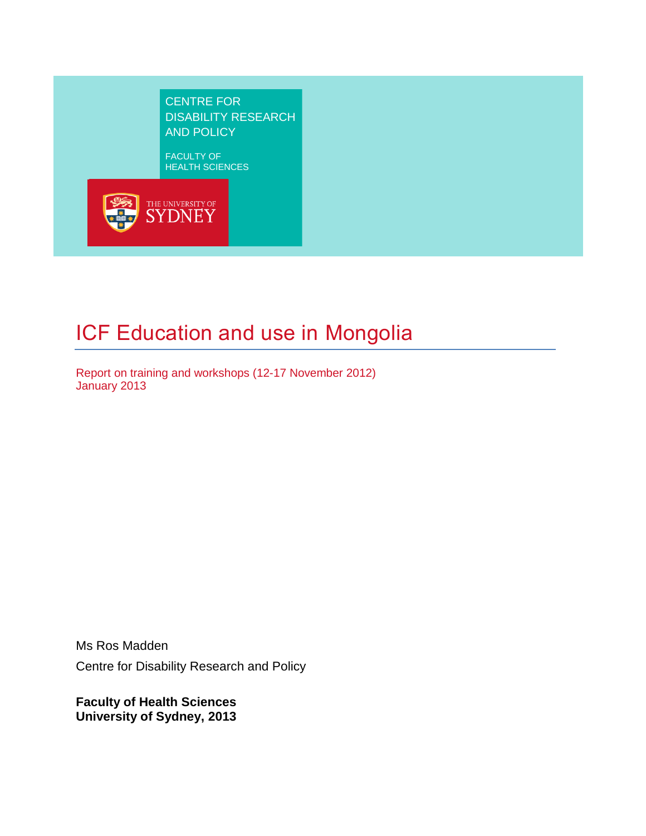CENTRE FOR DISABILITY RESEARCH AND POLICY

FACULTY OF HEALTH SCIENCES



# ICF Education and use in Mongolia

Report on training and workshops (12-17 November 2012) January 2013

Ms Ros Madden Centre for Disability Research and Policy

**Faculty of Health Sciences University of Sydney, 2013**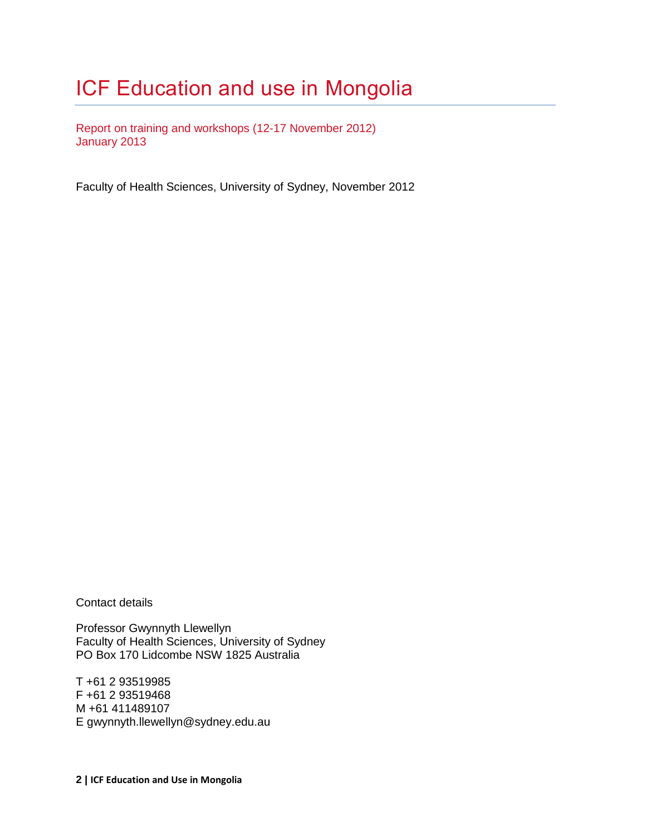# ICF Education and use in Mongolia

Report on training and workshops (12-17 November 2012) January 2013

Faculty of Health Sciences, University of Sydney, November 2012

Contact details

Professor Gwynnyth Llewellyn Faculty of Health Sciences, University of Sydney PO Box 170 Lidcombe NSW 1825 Australia

T +61 2 93519985 F +61 2 93519468 M +61 411489107 E gwynnyth.llewellyn@sydney.edu.au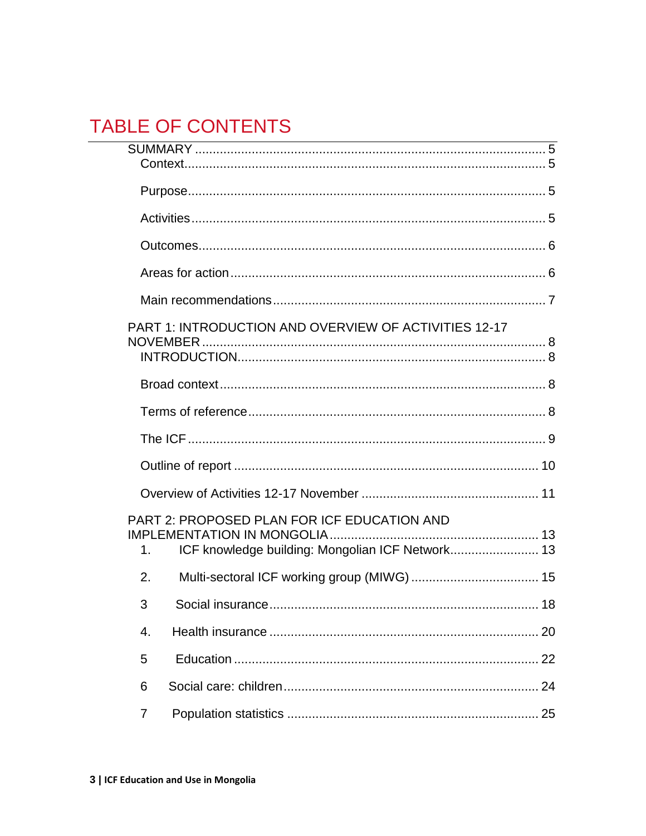## **TABLE OF CONTENTS**

| <u> 1989 - Johann Harry Harry Harry Harry Harry Harry Harry Harry Harry Harry Harry Harry Harry Harry Harry Harry</u> |    |
|-----------------------------------------------------------------------------------------------------------------------|----|
|                                                                                                                       |    |
|                                                                                                                       |    |
|                                                                                                                       |    |
|                                                                                                                       |    |
|                                                                                                                       |    |
| PART 1: INTRODUCTION AND OVERVIEW OF ACTIVITIES 12-17                                                                 |    |
|                                                                                                                       |    |
|                                                                                                                       |    |
|                                                                                                                       |    |
|                                                                                                                       |    |
|                                                                                                                       |    |
| PART 2: PROPOSED PLAN FOR ICF EDUCATION AND<br>ICF knowledge building: Mongolian ICF Network 13<br>1.                 |    |
| 2.                                                                                                                    |    |
| 3                                                                                                                     |    |
| 4.                                                                                                                    | 20 |
| 5                                                                                                                     |    |
| 6                                                                                                                     |    |
| $\overline{7}$                                                                                                        |    |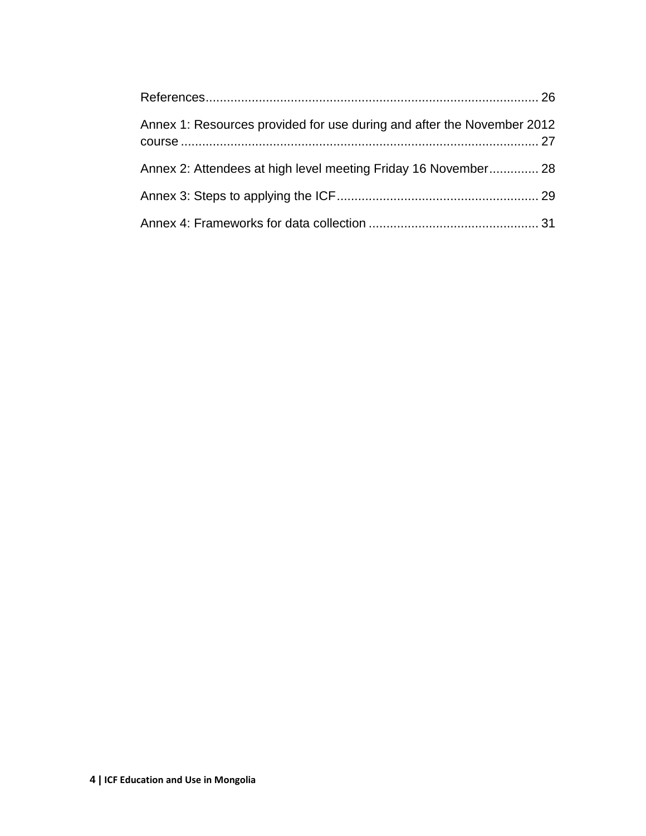| Annex 1: Resources provided for use during and after the November 2012 |  |
|------------------------------------------------------------------------|--|
| Annex 2: Attendees at high level meeting Friday 16 November 28         |  |
|                                                                        |  |
|                                                                        |  |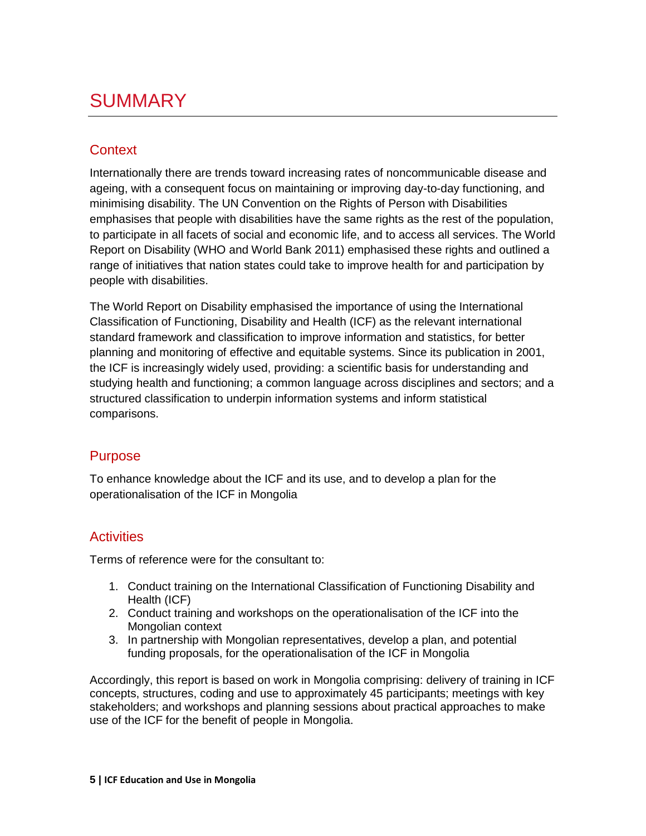## <span id="page-4-0"></span>SUMMARY

## <span id="page-4-1"></span>**Context**

Internationally there are trends toward increasing rates of noncommunicable disease and ageing, with a consequent focus on maintaining or improving day-to-day functioning, and minimising disability. The UN Convention on the Rights of Person with Disabilities emphasises that people with disabilities have the same rights as the rest of the population, to participate in all facets of social and economic life, and to access all services. The World Report on Disability (WHO and World Bank 2011) emphasised these rights and outlined a range of initiatives that nation states could take to improve health for and participation by people with disabilities.

The World Report on Disability emphasised the importance of using the International Classification of Functioning, Disability and Health (ICF) as the relevant international standard framework and classification to improve information and statistics, for better planning and monitoring of effective and equitable systems. Since its publication in 2001, the ICF is increasingly widely used, providing: a scientific basis for understanding and studying health and functioning; a common language across disciplines and sectors; and a structured classification to underpin information systems and inform statistical comparisons.

## <span id="page-4-2"></span>Purpose

To enhance knowledge about the ICF and its use, and to develop a plan for the operationalisation of the ICF in Mongolia

## <span id="page-4-3"></span>**Activities**

Terms of reference were for the consultant to:

- 1. Conduct training on the International Classification of Functioning Disability and Health (ICF)
- 2. Conduct training and workshops on the operationalisation of the ICF into the Mongolian context
- 3. In partnership with Mongolian representatives, develop a plan, and potential funding proposals, for the operationalisation of the ICF in Mongolia

Accordingly, this report is based on work in Mongolia comprising: delivery of training in ICF concepts, structures, coding and use to approximately 45 participants; meetings with key stakeholders; and workshops and planning sessions about practical approaches to make use of the ICF for the benefit of people in Mongolia.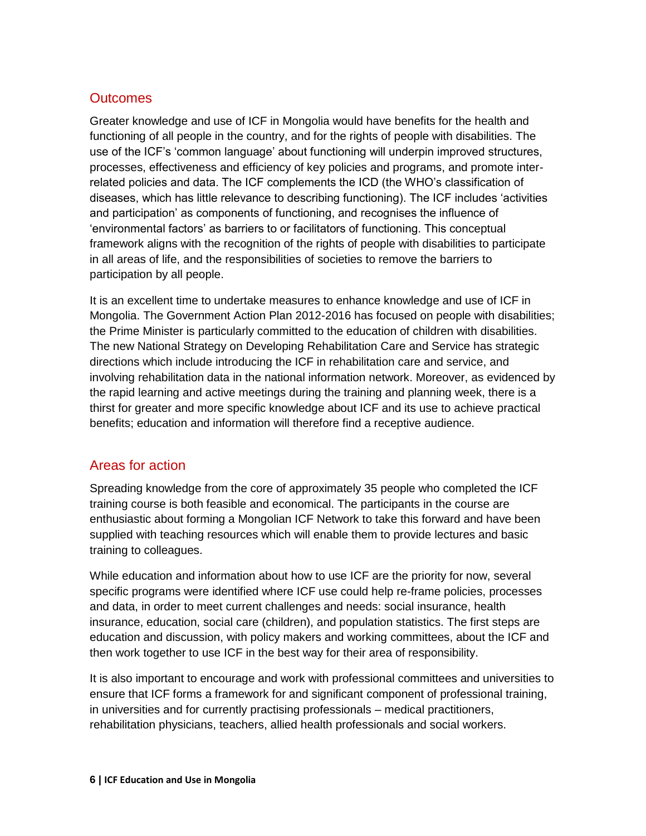### <span id="page-5-0"></span>**Outcomes**

Greater knowledge and use of ICF in Mongolia would have benefits for the health and functioning of all people in the country, and for the rights of people with disabilities. The use of the ICF's 'common language' about functioning will underpin improved structures, processes, effectiveness and efficiency of key policies and programs, and promote interrelated policies and data. The ICF complements the ICD (the WHO's classification of diseases, which has little relevance to describing functioning). The ICF includes 'activities and participation' as components of functioning, and recognises the influence of 'environmental factors' as barriers to or facilitators of functioning. This conceptual framework aligns with the recognition of the rights of people with disabilities to participate in all areas of life, and the responsibilities of societies to remove the barriers to participation by all people.

It is an excellent time to undertake measures to enhance knowledge and use of ICF in Mongolia. The Government Action Plan 2012-2016 has focused on people with disabilities; the Prime Minister is particularly committed to the education of children with disabilities. The new National Strategy on Developing Rehabilitation Care and Service has strategic directions which include introducing the ICF in rehabilitation care and service, and involving rehabilitation data in the national information network. Moreover, as evidenced by the rapid learning and active meetings during the training and planning week, there is a thirst for greater and more specific knowledge about ICF and its use to achieve practical benefits; education and information will therefore find a receptive audience.

## <span id="page-5-1"></span>Areas for action

Spreading knowledge from the core of approximately 35 people who completed the ICF training course is both feasible and economical. The participants in the course are enthusiastic about forming a Mongolian ICF Network to take this forward and have been supplied with teaching resources which will enable them to provide lectures and basic training to colleagues.

While education and information about how to use ICF are the priority for now, several specific programs were identified where ICF use could help re-frame policies, processes and data, in order to meet current challenges and needs: social insurance, health insurance, education, social care (children), and population statistics. The first steps are education and discussion, with policy makers and working committees, about the ICF and then work together to use ICF in the best way for their area of responsibility.

It is also important to encourage and work with professional committees and universities to ensure that ICF forms a framework for and significant component of professional training, in universities and for currently practising professionals – medical practitioners, rehabilitation physicians, teachers, allied health professionals and social workers.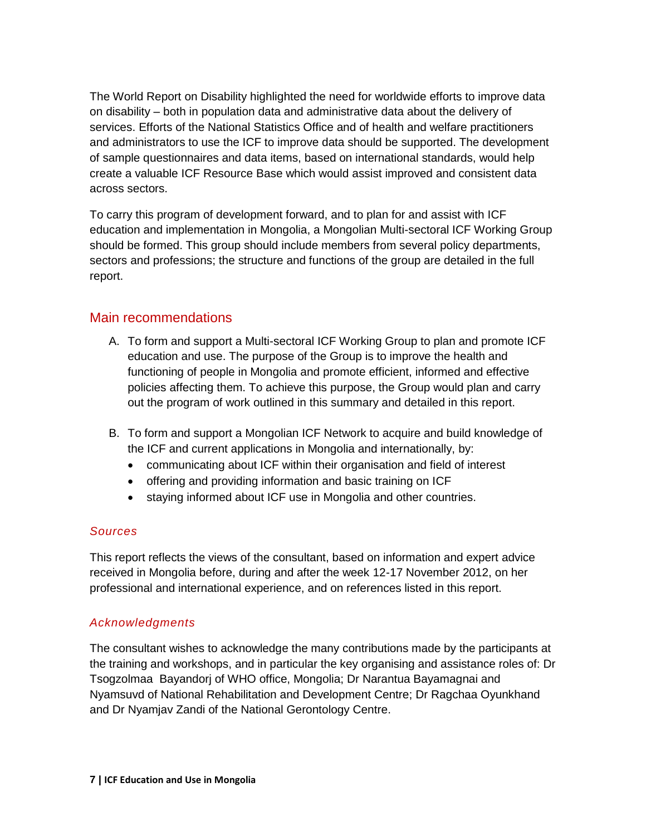The World Report on Disability highlighted the need for worldwide efforts to improve data on disability – both in population data and administrative data about the delivery of services. Efforts of the National Statistics Office and of health and welfare practitioners and administrators to use the ICF to improve data should be supported. The development of sample questionnaires and data items, based on international standards, would help create a valuable ICF Resource Base which would assist improved and consistent data across sectors.

To carry this program of development forward, and to plan for and assist with ICF education and implementation in Mongolia, a Mongolian Multi-sectoral ICF Working Group should be formed. This group should include members from several policy departments, sectors and professions; the structure and functions of the group are detailed in the full report.

#### <span id="page-6-0"></span>Main recommendations

- A. To form and support a Multi-sectoral ICF Working Group to plan and promote ICF education and use. The purpose of the Group is to improve the health and functioning of people in Mongolia and promote efficient, informed and effective policies affecting them. To achieve this purpose, the Group would plan and carry out the program of work outlined in this summary and detailed in this report.
- B. To form and support a Mongolian ICF Network to acquire and build knowledge of the ICF and current applications in Mongolia and internationally, by:
	- communicating about ICF within their organisation and field of interest
	- offering and providing information and basic training on ICF
	- staying informed about ICF use in Mongolia and other countries.

#### *Sources*

This report reflects the views of the consultant, based on information and expert advice received in Mongolia before, during and after the week 12-17 November 2012, on her professional and international experience, and on references listed in this report.

#### *Acknowledgments*

The consultant wishes to acknowledge the many contributions made by the participants at the training and workshops, and in particular the key organising and assistance roles of: Dr Tsogzolmaa Bayandorj of WHO office, Mongolia; Dr Narantua Bayamagnai and Nyamsuvd of National Rehabilitation and Development Centre; Dr Ragchaa Oyunkhand and Dr Nyamjav Zandi of the National Gerontology Centre.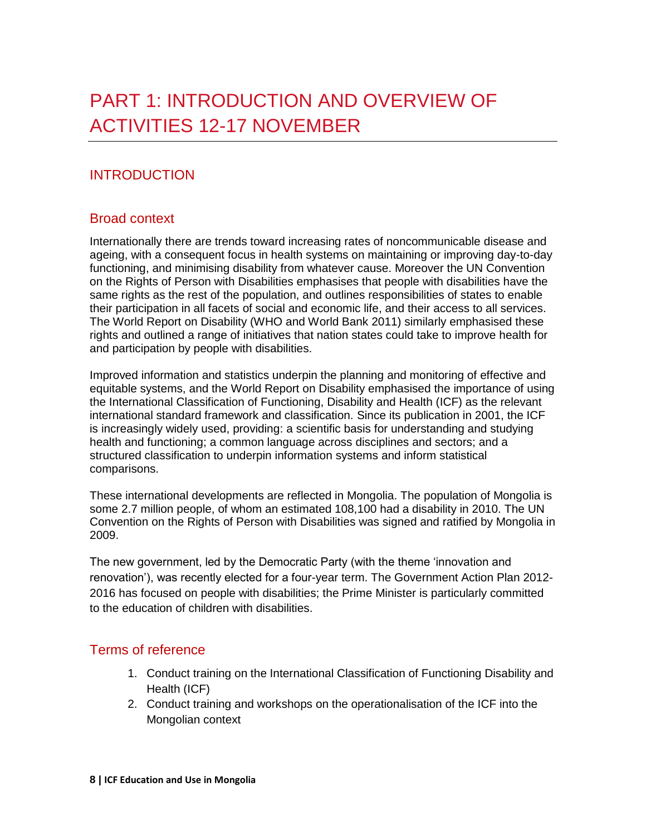## <span id="page-7-0"></span>PART 1: INTRODUCTION AND OVERVIEW OF ACTIVITIES 12-17 NOVEMBER

## <span id="page-7-1"></span>INTRODUCTION

#### <span id="page-7-2"></span>Broad context

Internationally there are trends toward increasing rates of noncommunicable disease and ageing, with a consequent focus in health systems on maintaining or improving day-to-day functioning, and minimising disability from whatever cause. Moreover the UN Convention on the Rights of Person with Disabilities emphasises that people with disabilities have the same rights as the rest of the population, and outlines responsibilities of states to enable their participation in all facets of social and economic life, and their access to all services. The World Report on Disability (WHO and World Bank 2011) similarly emphasised these rights and outlined a range of initiatives that nation states could take to improve health for and participation by people with disabilities.

Improved information and statistics underpin the planning and monitoring of effective and equitable systems, and the World Report on Disability emphasised the importance of using the International Classification of Functioning, Disability and Health (ICF) as the relevant international standard framework and classification. Since its publication in 2001, the ICF is increasingly widely used, providing: a scientific basis for understanding and studying health and functioning; a common language across disciplines and sectors; and a structured classification to underpin information systems and inform statistical comparisons.

These international developments are reflected in Mongolia. The population of Mongolia is some 2.7 million people, of whom an estimated 108,100 had a disability in 2010. The UN Convention on the Rights of Person with Disabilities was signed and ratified by Mongolia in 2009.

The new government, led by the Democratic Party (with the theme 'innovation and renovation'), was recently elected for a four-year term. The Government Action Plan 2012- 2016 has focused on people with disabilities; the Prime Minister is particularly committed to the education of children with disabilities.

#### <span id="page-7-3"></span>Terms of reference

- 1. Conduct training on the International Classification of Functioning Disability and Health (ICF)
- 2. Conduct training and workshops on the operationalisation of the ICF into the Mongolian context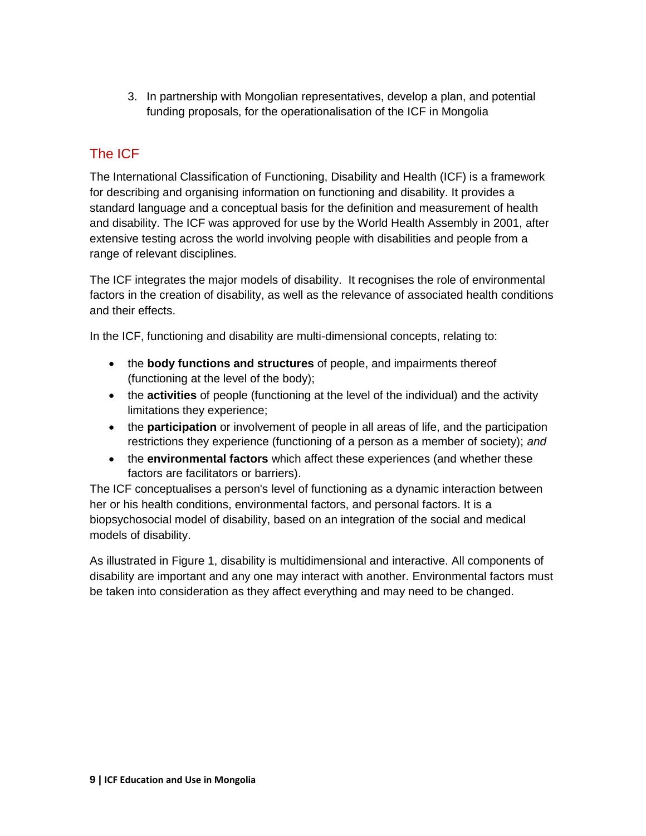3. In partnership with Mongolian representatives, develop a plan, and potential funding proposals, for the operationalisation of the ICF in Mongolia

## <span id="page-8-0"></span>The ICF

The International Classification of Functioning, Disability and Health (ICF) is a framework for describing and organising information on functioning and disability. It provides a standard language and a conceptual basis for the definition and measurement of health and disability. The ICF was approved for use by the World Health Assembly in 2001, after extensive testing across the world involving people with disabilities and people from a range of relevant disciplines.

The ICF integrates the major models of disability. It recognises the role of environmental factors in the creation of disability, as well as the relevance of associated health conditions and their effects.

In the ICF, functioning and disability are multi-dimensional concepts, relating to:

- the **body functions and structures** of people, and impairments thereof (functioning at the level of the body);
- the **activities** of people (functioning at the level of the individual) and the activity limitations they experience;
- the **participation** or involvement of people in all areas of life, and the participation restrictions they experience (functioning of a person as a member of society); *and*
- the **environmental factors** which affect these experiences (and whether these factors are facilitators or barriers).

The ICF conceptualises a person's level of functioning as a dynamic interaction between her or his health conditions, environmental factors, and personal factors. It is a biopsychosocial model of disability, based on an integration of the social and medical models of disability.

As illustrated in Figure 1, disability is multidimensional and interactive. All components of disability are important and any one may interact with another. Environmental factors must be taken into consideration as they affect everything and may need to be changed.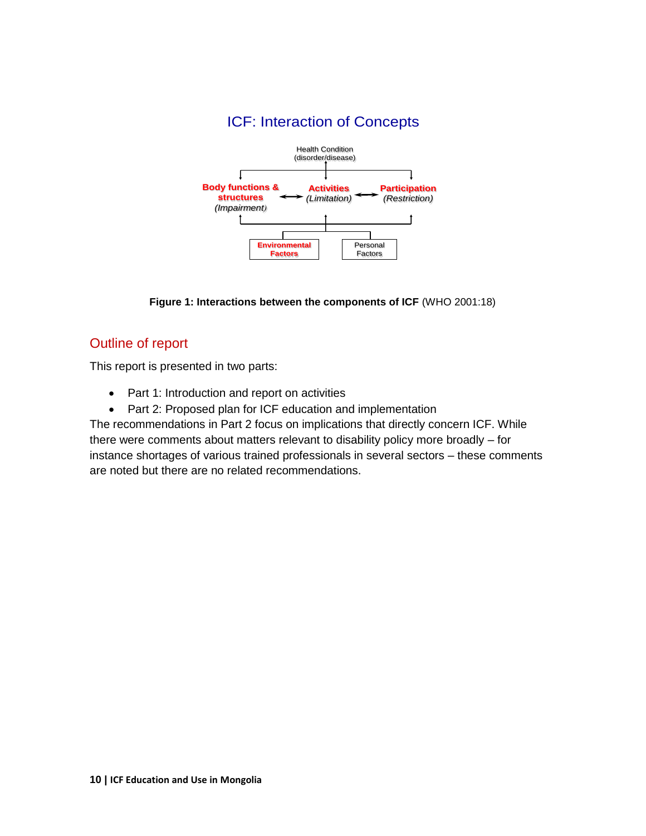

**Figure 1: Interactions between the components of ICF** (WHO 2001:18)

### <span id="page-9-0"></span>Outline of report

This report is presented in two parts:

- Part 1: Introduction and report on activities
- Part 2: Proposed plan for ICF education and implementation

The recommendations in Part 2 focus on implications that directly concern ICF. While there were comments about matters relevant to disability policy more broadly – for instance shortages of various trained professionals in several sectors – these comments are noted but there are no related recommendations.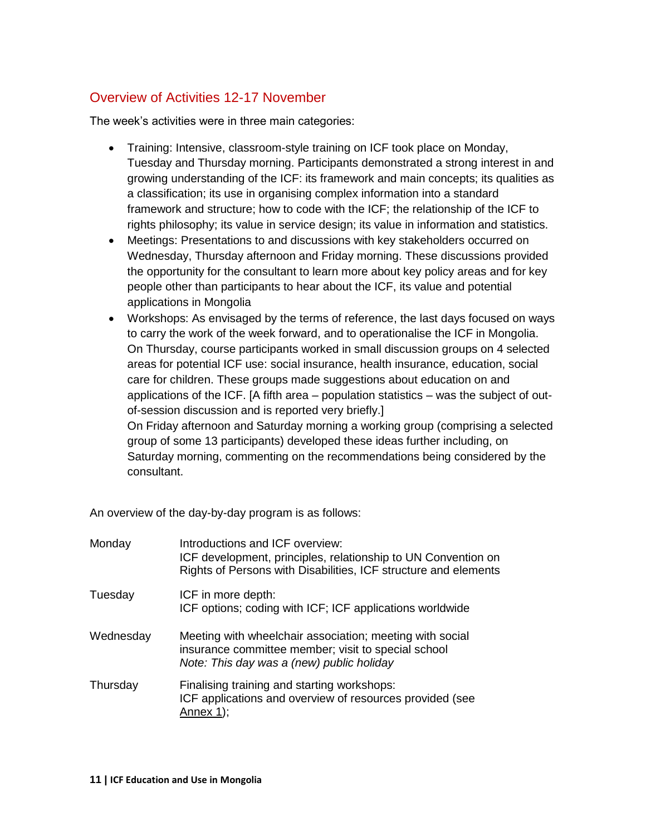## <span id="page-10-0"></span>Overview of Activities 12-17 November

The week's activities were in three main categories:

- Training: Intensive, classroom-style training on ICF took place on Monday, Tuesday and Thursday morning. Participants demonstrated a strong interest in and growing understanding of the ICF: its framework and main concepts; its qualities as a classification; its use in organising complex information into a standard framework and structure; how to code with the ICF; the relationship of the ICF to rights philosophy; its value in service design; its value in information and statistics.
- Meetings: Presentations to and discussions with key stakeholders occurred on Wednesday, Thursday afternoon and Friday morning. These discussions provided the opportunity for the consultant to learn more about key policy areas and for key people other than participants to hear about the ICF, its value and potential applications in Mongolia
- Workshops: As envisaged by the terms of reference, the last days focused on ways to carry the work of the week forward, and to operationalise the ICF in Mongolia. On Thursday, course participants worked in small discussion groups on 4 selected areas for potential ICF use: social insurance, health insurance, education, social care for children. These groups made suggestions about education on and applications of the ICF. [A fifth area – population statistics – was the subject of outof-session discussion and is reported very briefly.] On Friday afternoon and Saturday morning a working group (comprising a selected group of some 13 participants) developed these ideas further including, on Saturday morning, commenting on the recommendations being considered by the

consultant.

An overview of the day-by-day program is as follows:

| Monday    | Introductions and ICF overview:<br>ICF development, principles, relationship to UN Convention on<br>Rights of Persons with Disabilities, ICF structure and elements |
|-----------|---------------------------------------------------------------------------------------------------------------------------------------------------------------------|
| Tuesday   | ICF in more depth:<br>ICF options; coding with ICF; ICF applications worldwide                                                                                      |
| Wednesday | Meeting with wheelchair association; meeting with social<br>insurance committee member; visit to special school<br>Note: This day was a (new) public holiday        |
| Thursday  | Finalising training and starting workshops:<br>ICF applications and overview of resources provided (see<br>Annex $1$ :                                              |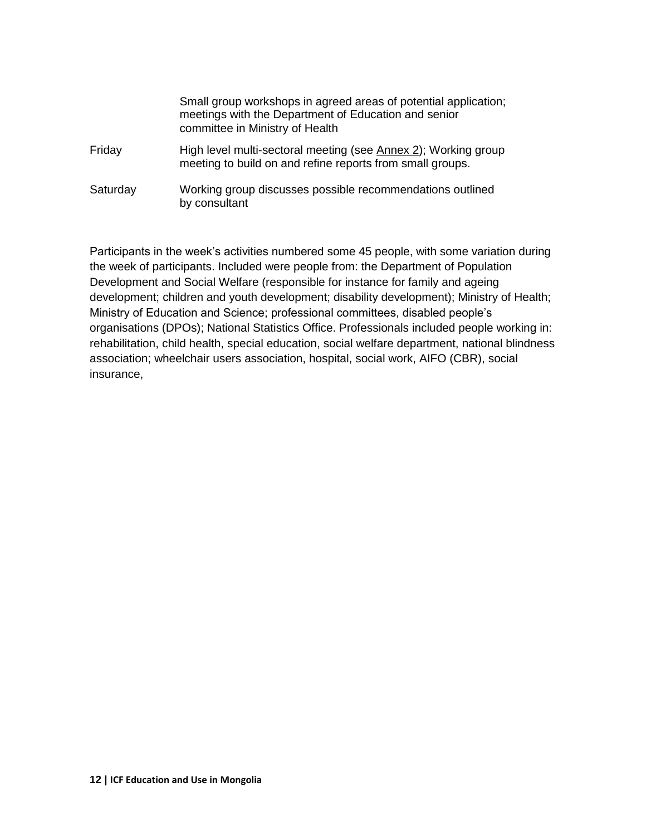|          | Small group workshops in agreed areas of potential application;<br>meetings with the Department of Education and senior<br>committee in Ministry of Health |
|----------|------------------------------------------------------------------------------------------------------------------------------------------------------------|
| Friday   | High level multi-sectoral meeting (see Annex 2); Working group<br>meeting to build on and refine reports from small groups.                                |
| Saturday | Working group discusses possible recommendations outlined<br>by consultant                                                                                 |

Participants in the week's activities numbered some 45 people, with some variation during the week of participants. Included were people from: the Department of Population Development and Social Welfare (responsible for instance for family and ageing development; children and youth development; disability development); Ministry of Health; Ministry of Education and Science; professional committees, disabled people's organisations (DPOs); National Statistics Office. Professionals included people working in: rehabilitation, child health, special education, social welfare department, national blindness association; wheelchair users association, hospital, social work, AIFO (CBR), social insurance,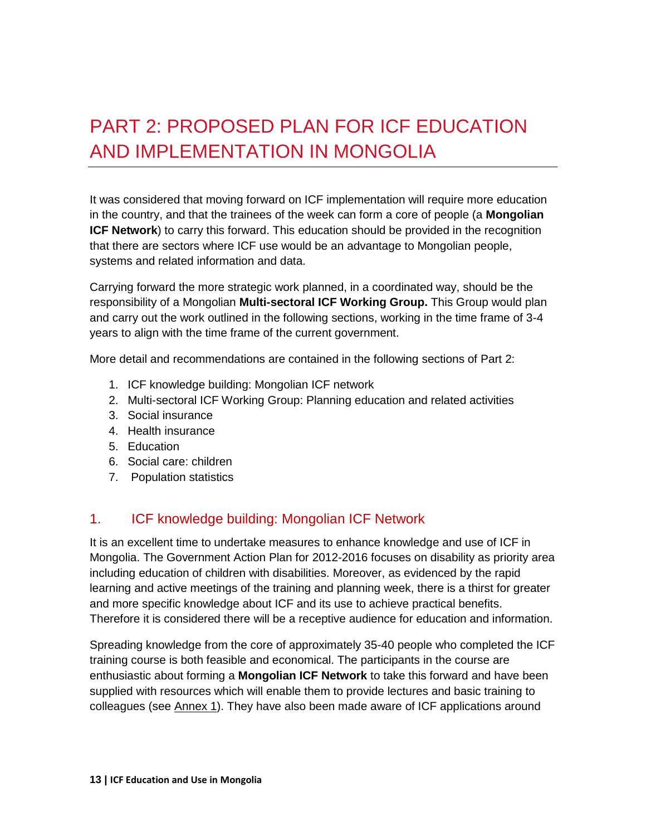# <span id="page-12-0"></span>PART 2: PROPOSED PLAN FOR ICF EDUCATION AND IMPLEMENTATION IN MONGOLIA

It was considered that moving forward on ICF implementation will require more education in the country, and that the trainees of the week can form a core of people (a **Mongolian ICF Network**) to carry this forward. This education should be provided in the recognition that there are sectors where ICF use would be an advantage to Mongolian people, systems and related information and data.

Carrying forward the more strategic work planned, in a coordinated way, should be the responsibility of a Mongolian **Multi-sectoral ICF Working Group.** This Group would plan and carry out the work outlined in the following sections, working in the time frame of 3-4 years to align with the time frame of the current government.

More detail and recommendations are contained in the following sections of Part 2:

- 1. ICF knowledge building: Mongolian ICF network
- 2. Multi-sectoral ICF Working Group: Planning education and related activities
- 3. Social insurance
- 4. Health insurance
- 5. Education
- 6. Social care: children
- 7. Population statistics

## <span id="page-12-1"></span>1. ICF knowledge building: Mongolian ICF Network

It is an excellent time to undertake measures to enhance knowledge and use of ICF in Mongolia. The Government Action Plan for 2012-2016 focuses on disability as priority area including education of children with disabilities. Moreover, as evidenced by the rapid learning and active meetings of the training and planning week, there is a thirst for greater and more specific knowledge about ICF and its use to achieve practical benefits. Therefore it is considered there will be a receptive audience for education and information.

Spreading knowledge from the core of approximately 35-40 people who completed the ICF training course is both feasible and economical. The participants in the course are enthusiastic about forming a **Mongolian ICF Network** to take this forward and have been supplied with resources which will enable them to provide lectures and basic training to colleagues (see Annex 1). They have also been made aware of ICF applications around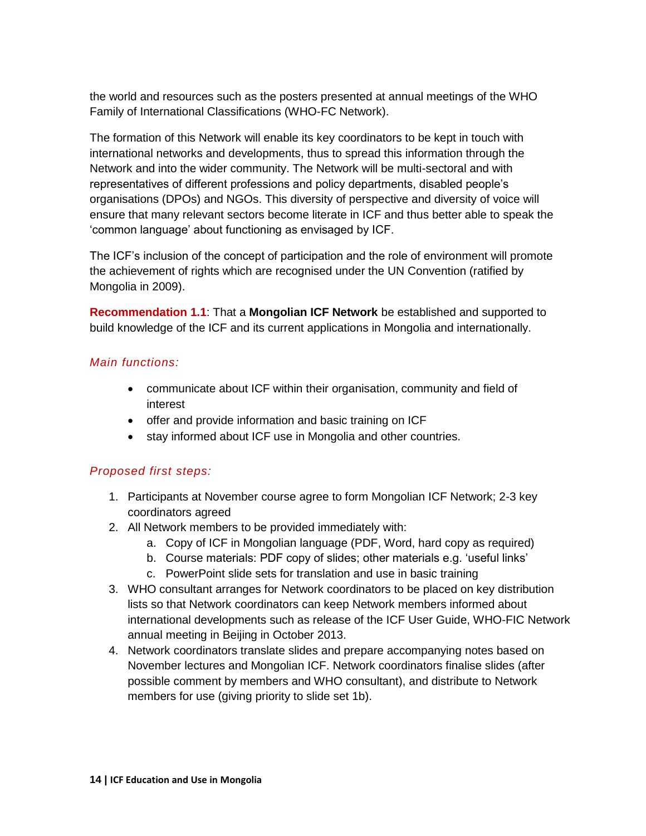the world and resources such as the posters presented at annual meetings of the WHO Family of International Classifications (WHO-FC Network).

The formation of this Network will enable its key coordinators to be kept in touch with international networks and developments, thus to spread this information through the Network and into the wider community. The Network will be multi-sectoral and with representatives of different professions and policy departments, disabled people's organisations (DPOs) and NGOs. This diversity of perspective and diversity of voice will ensure that many relevant sectors become literate in ICF and thus better able to speak the 'common language' about functioning as envisaged by ICF.

The ICF's inclusion of the concept of participation and the role of environment will promote the achievement of rights which are recognised under the UN Convention (ratified by Mongolia in 2009).

**Recommendation 1.1**: That a **Mongolian ICF Network** be established and supported to build knowledge of the ICF and its current applications in Mongolia and internationally.

#### *Main functions:*

- communicate about ICF within their organisation, community and field of interest
- offer and provide information and basic training on ICF
- stay informed about ICF use in Mongolia and other countries.

#### *Proposed first steps:*

- 1. Participants at November course agree to form Mongolian ICF Network; 2-3 key coordinators agreed
- 2. All Network members to be provided immediately with:
	- a. Copy of ICF in Mongolian language (PDF, Word, hard copy as required)
	- b. Course materials: PDF copy of slides; other materials e.g. 'useful links'
	- c. PowerPoint slide sets for translation and use in basic training
- 3. WHO consultant arranges for Network coordinators to be placed on key distribution lists so that Network coordinators can keep Network members informed about international developments such as release of the ICF User Guide, WHO-FIC Network annual meeting in Beijing in October 2013.
- 4. Network coordinators translate slides and prepare accompanying notes based on November lectures and Mongolian ICF. Network coordinators finalise slides (after possible comment by members and WHO consultant), and distribute to Network members for use (giving priority to slide set 1b).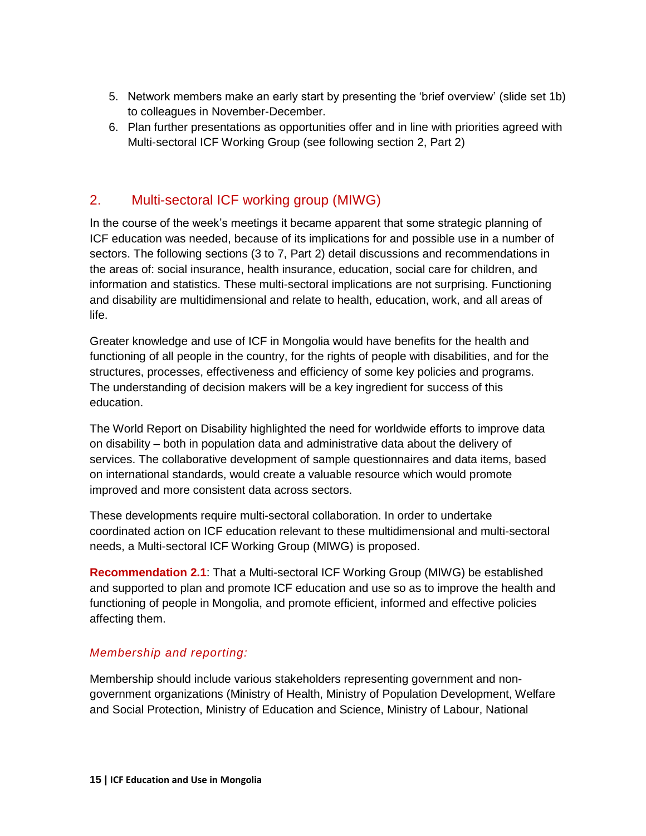- 5. Network members make an early start by presenting the 'brief overview' (slide set 1b) to colleagues in November-December.
- 6. Plan further presentations as opportunities offer and in line with priorities agreed with Multi-sectoral ICF Working Group (see following section 2, Part 2)

## <span id="page-14-0"></span>2. Multi-sectoral ICF working group (MIWG)

In the course of the week's meetings it became apparent that some strategic planning of ICF education was needed, because of its implications for and possible use in a number of sectors. The following sections (3 to 7, Part 2) detail discussions and recommendations in the areas of: social insurance, health insurance, education, social care for children, and information and statistics. These multi-sectoral implications are not surprising. Functioning and disability are multidimensional and relate to health, education, work, and all areas of life.

Greater knowledge and use of ICF in Mongolia would have benefits for the health and functioning of all people in the country, for the rights of people with disabilities, and for the structures, processes, effectiveness and efficiency of some key policies and programs. The understanding of decision makers will be a key ingredient for success of this education.

The World Report on Disability highlighted the need for worldwide efforts to improve data on disability – both in population data and administrative data about the delivery of services. The collaborative development of sample questionnaires and data items, based on international standards, would create a valuable resource which would promote improved and more consistent data across sectors.

These developments require multi-sectoral collaboration. In order to undertake coordinated action on ICF education relevant to these multidimensional and multi-sectoral needs, a Multi-sectoral ICF Working Group (MIWG) is proposed.

**Recommendation 2.1**: That a Multi-sectoral ICF Working Group (MIWG) be established and supported to plan and promote ICF education and use so as to improve the health and functioning of people in Mongolia, and promote efficient, informed and effective policies affecting them.

#### *Membership and reporting:*

Membership should include various stakeholders representing government and nongovernment organizations (Ministry of Health, Ministry of Population Development, Welfare and Social Protection, Ministry of Education and Science, Ministry of Labour, National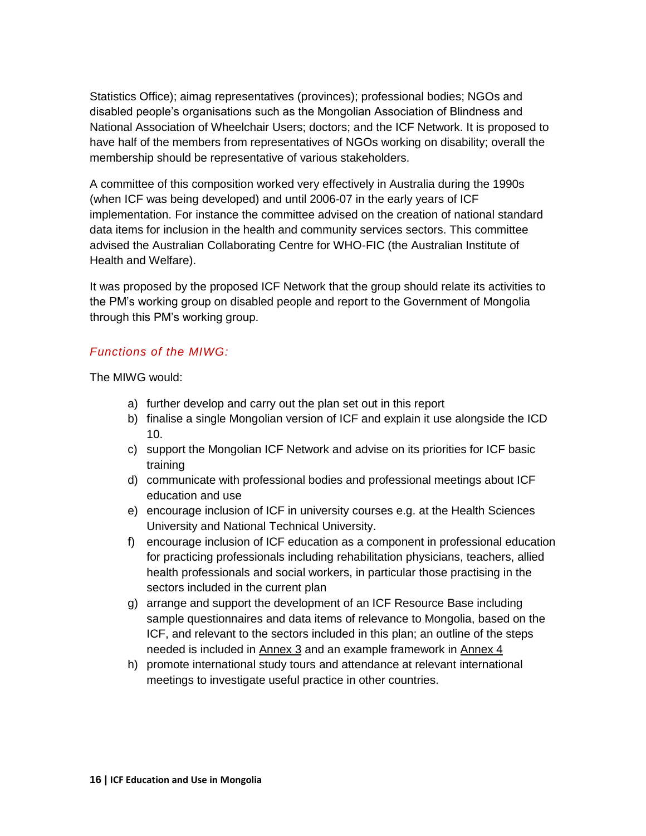Statistics Office); aimag representatives (provinces); professional bodies; NGOs and disabled people's organisations such as the Mongolian Association of Blindness and National Association of Wheelchair Users; doctors; and the ICF Network. It is proposed to have half of the members from representatives of NGOs working on disability; overall the membership should be representative of various stakeholders.

A committee of this composition worked very effectively in Australia during the 1990s (when ICF was being developed) and until 2006-07 in the early years of ICF implementation. For instance the committee advised on the creation of national standard data items for inclusion in the health and community services sectors. This committee advised the Australian Collaborating Centre for WHO-FIC (the Australian Institute of Health and Welfare).

It was proposed by the proposed ICF Network that the group should relate its activities to the PM's working group on disabled people and report to the Government of Mongolia through this PM's working group.

#### *Functions of the MIWG:*

The MIWG would:

- a) further develop and carry out the plan set out in this report
- b) finalise a single Mongolian version of ICF and explain it use alongside the ICD 10.
- c) support the Mongolian ICF Network and advise on its priorities for ICF basic training
- d) communicate with professional bodies and professional meetings about ICF education and use
- e) encourage inclusion of ICF in university courses e.g. at the Health Sciences University and National Technical University.
- f) encourage inclusion of ICF education as a component in professional education for practicing professionals including rehabilitation physicians, teachers, allied health professionals and social workers, in particular those practising in the sectors included in the current plan
- g) arrange and support the development of an ICF Resource Base including sample questionnaires and data items of relevance to Mongolia, based on the ICF, and relevant to the sectors included in this plan; an outline of the steps needed is included in Annex 3 and an example framework in Annex 4
- h) promote international study tours and attendance at relevant international meetings to investigate useful practice in other countries.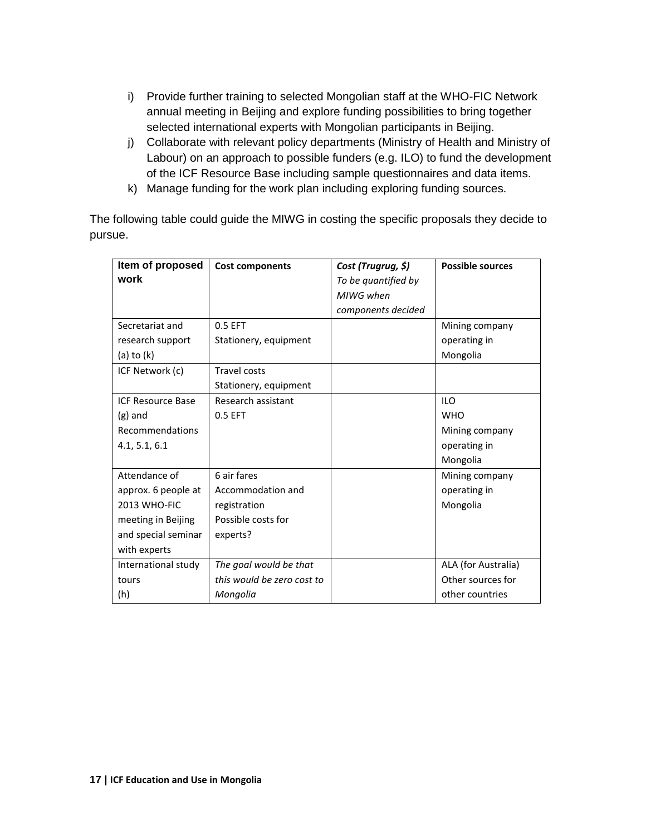- i) Provide further training to selected Mongolian staff at the WHO-FIC Network annual meeting in Beijing and explore funding possibilities to bring together selected international experts with Mongolian participants in Beijing.
- j) Collaborate with relevant policy departments (Ministry of Health and Ministry of Labour) on an approach to possible funders (e.g. ILO) to fund the development of the ICF Resource Base including sample questionnaires and data items.
- k) Manage funding for the work plan including exploring funding sources.

The following table could guide the MIWG in costing the specific proposals they decide to pursue.

| Item of proposed         | <b>Cost components</b>     | Cost (Trugrug, \$)  | <b>Possible sources</b> |
|--------------------------|----------------------------|---------------------|-------------------------|
| work                     |                            | To be quantified by |                         |
|                          |                            | MIWG when           |                         |
|                          |                            | components decided  |                         |
| Secretariat and          | 0.5 EFT                    |                     | Mining company          |
| research support         | Stationery, equipment      |                     | operating in            |
| (a) to $(k)$             |                            |                     | Mongolia                |
| ICF Network (c)          | <b>Travel costs</b>        |                     |                         |
|                          | Stationery, equipment      |                     |                         |
| <b>ICF Resource Base</b> | Research assistant         |                     | <b>ILO</b>              |
| $(g)$ and                | 0.5 EFT                    |                     | <b>WHO</b>              |
| Recommendations          |                            |                     | Mining company          |
| 4.1, 5.1, 6.1            |                            |                     | operating in            |
|                          |                            |                     | Mongolia                |
| Attendance of            | 6 air fares                |                     | Mining company          |
| approx. 6 people at      | Accommodation and          |                     | operating in            |
| 2013 WHO-FIC             | registration               |                     | Mongolia                |
| meeting in Beijing       | Possible costs for         |                     |                         |
| and special seminar      | experts?                   |                     |                         |
| with experts             |                            |                     |                         |
| International study      | The goal would be that     |                     | ALA (for Australia)     |
| tours                    | this would be zero cost to |                     | Other sources for       |
| (h)                      | Mongolia                   |                     | other countries         |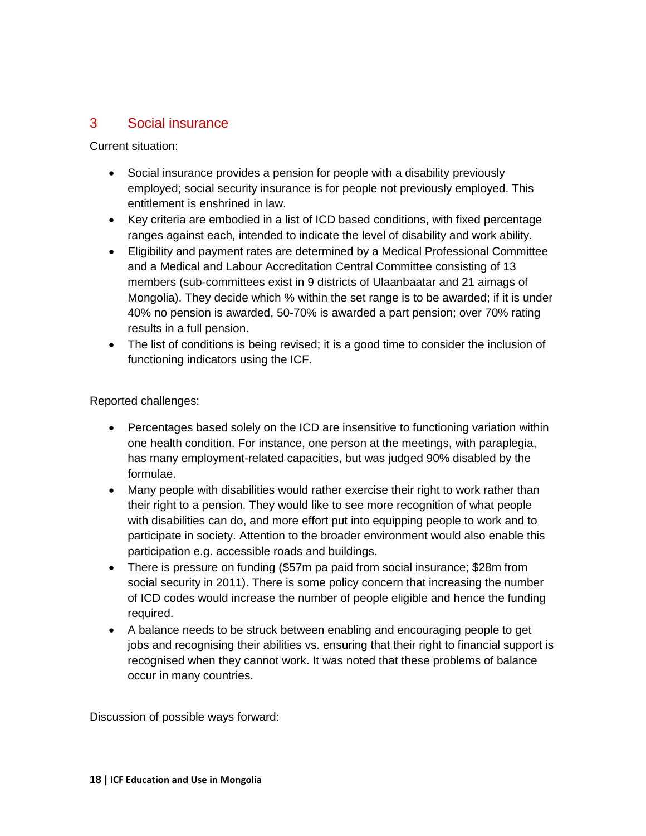### <span id="page-17-0"></span>3 Social insurance

Current situation:

- Social insurance provides a pension for people with a disability previously employed; social security insurance is for people not previously employed. This entitlement is enshrined in law.
- Key criteria are embodied in a list of ICD based conditions, with fixed percentage ranges against each, intended to indicate the level of disability and work ability.
- Eligibility and payment rates are determined by a Medical Professional Committee and a Medical and Labour Accreditation Central Committee consisting of 13 members (sub-committees exist in 9 districts of Ulaanbaatar and 21 aimags of Mongolia). They decide which % within the set range is to be awarded; if it is under 40% no pension is awarded, 50-70% is awarded a part pension; over 70% rating results in a full pension.
- The list of conditions is being revised; it is a good time to consider the inclusion of functioning indicators using the ICF.

Reported challenges:

- Percentages based solely on the ICD are insensitive to functioning variation within one health condition. For instance, one person at the meetings, with paraplegia, has many employment-related capacities, but was judged 90% disabled by the formulae.
- Many people with disabilities would rather exercise their right to work rather than their right to a pension. They would like to see more recognition of what people with disabilities can do, and more effort put into equipping people to work and to participate in society. Attention to the broader environment would also enable this participation e.g. accessible roads and buildings.
- There is pressure on funding (\$57m pa paid from social insurance; \$28m from social security in 2011). There is some policy concern that increasing the number of ICD codes would increase the number of people eligible and hence the funding required.
- A balance needs to be struck between enabling and encouraging people to get jobs and recognising their abilities vs. ensuring that their right to financial support is recognised when they cannot work. It was noted that these problems of balance occur in many countries.

Discussion of possible ways forward: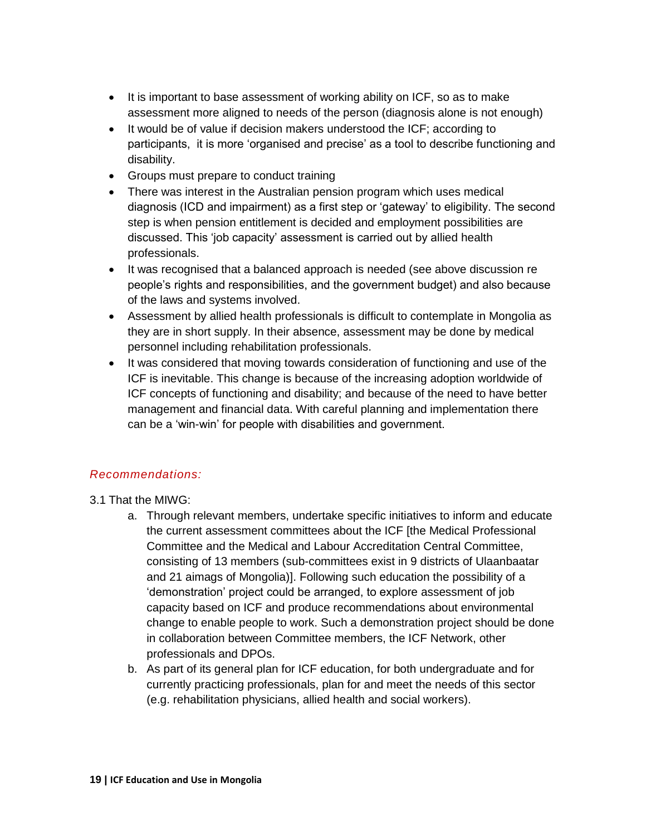- It is important to base assessment of working ability on ICF, so as to make assessment more aligned to needs of the person (diagnosis alone is not enough)
- It would be of value if decision makers understood the ICF; according to participants, it is more 'organised and precise' as a tool to describe functioning and disability.
- Groups must prepare to conduct training
- There was interest in the Australian pension program which uses medical diagnosis (ICD and impairment) as a first step or 'gateway' to eligibility. The second step is when pension entitlement is decided and employment possibilities are discussed. This 'job capacity' assessment is carried out by allied health professionals.
- It was recognised that a balanced approach is needed (see above discussion re people's rights and responsibilities, and the government budget) and also because of the laws and systems involved.
- Assessment by allied health professionals is difficult to contemplate in Mongolia as they are in short supply. In their absence, assessment may be done by medical personnel including rehabilitation professionals.
- It was considered that moving towards consideration of functioning and use of the ICF is inevitable. This change is because of the increasing adoption worldwide of ICF concepts of functioning and disability; and because of the need to have better management and financial data. With careful planning and implementation there can be a 'win-win' for people with disabilities and government.

#### *Recommendations:*

- 3.1 That the MIWG:
	- a. Through relevant members, undertake specific initiatives to inform and educate the current assessment committees about the ICF [the Medical Professional Committee and the Medical and Labour Accreditation Central Committee, consisting of 13 members (sub-committees exist in 9 districts of Ulaanbaatar and 21 aimags of Mongolia)]. Following such education the possibility of a 'demonstration' project could be arranged, to explore assessment of job capacity based on ICF and produce recommendations about environmental change to enable people to work. Such a demonstration project should be done in collaboration between Committee members, the ICF Network, other professionals and DPOs.
	- b. As part of its general plan for ICF education, for both undergraduate and for currently practicing professionals, plan for and meet the needs of this sector (e.g. rehabilitation physicians, allied health and social workers).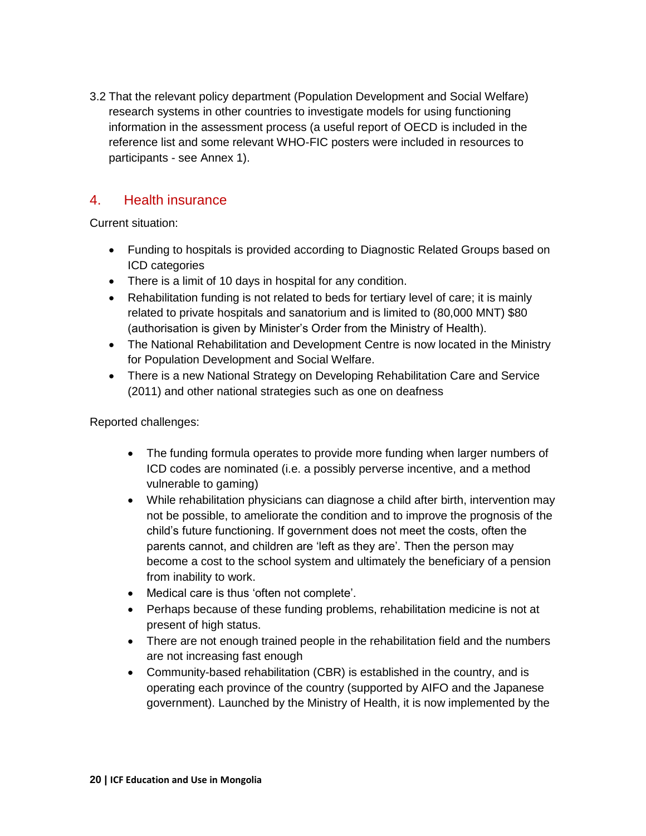3.2 That the relevant policy department (Population Development and Social Welfare) research systems in other countries to investigate models for using functioning information in the assessment process (a useful report of OECD is included in the reference list and some relevant WHO-FIC posters were included in resources to participants - see Annex 1).

### <span id="page-19-0"></span>4. Health insurance

Current situation:

- Funding to hospitals is provided according to Diagnostic Related Groups based on ICD categories
- There is a limit of 10 days in hospital for any condition.
- Rehabilitation funding is not related to beds for tertiary level of care; it is mainly related to private hospitals and sanatorium and is limited to (80,000 MNT) \$80 (authorisation is given by Minister's Order from the Ministry of Health).
- The National Rehabilitation and Development Centre is now located in the Ministry for Population Development and Social Welfare.
- There is a new National Strategy on Developing Rehabilitation Care and Service (2011) and other national strategies such as one on deafness

Reported challenges:

- The funding formula operates to provide more funding when larger numbers of ICD codes are nominated (i.e. a possibly perverse incentive, and a method vulnerable to gaming)
- While rehabilitation physicians can diagnose a child after birth, intervention may not be possible, to ameliorate the condition and to improve the prognosis of the child's future functioning. If government does not meet the costs, often the parents cannot, and children are 'left as they are'. Then the person may become a cost to the school system and ultimately the beneficiary of a pension from inability to work.
- Medical care is thus 'often not complete'.
- Perhaps because of these funding problems, rehabilitation medicine is not at present of high status.
- There are not enough trained people in the rehabilitation field and the numbers are not increasing fast enough
- Community-based rehabilitation (CBR) is established in the country, and is operating each province of the country (supported by AIFO and the Japanese government). Launched by the Ministry of Health, it is now implemented by the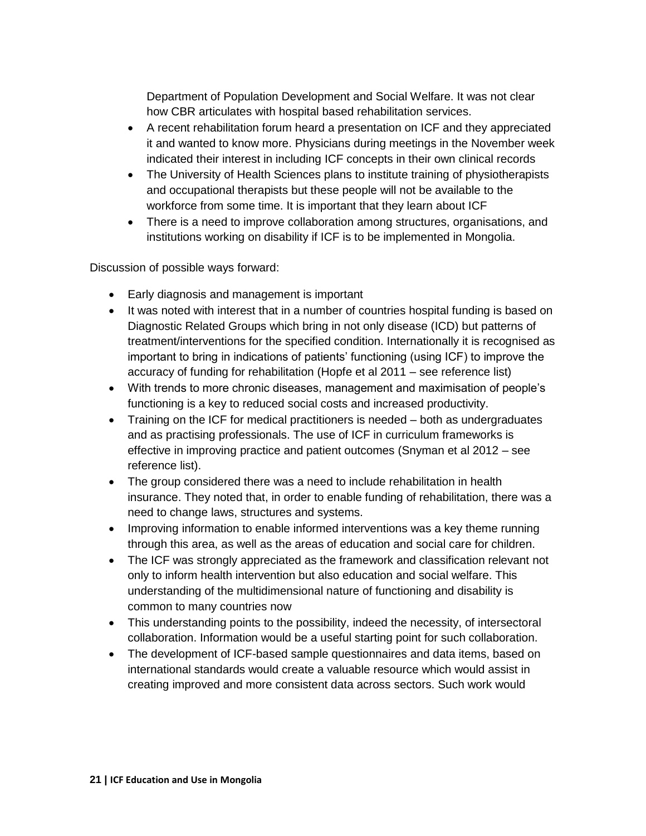Department of Population Development and Social Welfare. It was not clear how CBR articulates with hospital based rehabilitation services.

- A recent rehabilitation forum heard a presentation on ICF and they appreciated it and wanted to know more. Physicians during meetings in the November week indicated their interest in including ICF concepts in their own clinical records
- The University of Health Sciences plans to institute training of physiotherapists and occupational therapists but these people will not be available to the workforce from some time. It is important that they learn about ICF
- There is a need to improve collaboration among structures, organisations, and institutions working on disability if ICF is to be implemented in Mongolia.

Discussion of possible ways forward:

- Early diagnosis and management is important
- It was noted with interest that in a number of countries hospital funding is based on Diagnostic Related Groups which bring in not only disease (ICD) but patterns of treatment/interventions for the specified condition. Internationally it is recognised as important to bring in indications of patients' functioning (using ICF) to improve the accuracy of funding for rehabilitation (Hopfe et al 2011 – see reference list)
- With trends to more chronic diseases, management and maximisation of people's functioning is a key to reduced social costs and increased productivity.
- Training on the ICF for medical practitioners is needed both as undergraduates and as practising professionals. The use of ICF in curriculum frameworks is effective in improving practice and patient outcomes (Snyman et al 2012 – see reference list).
- The group considered there was a need to include rehabilitation in health insurance. They noted that, in order to enable funding of rehabilitation, there was a need to change laws, structures and systems.
- Improving information to enable informed interventions was a key theme running through this area, as well as the areas of education and social care for children.
- The ICF was strongly appreciated as the framework and classification relevant not only to inform health intervention but also education and social welfare. This understanding of the multidimensional nature of functioning and disability is common to many countries now
- This understanding points to the possibility, indeed the necessity, of intersectoral collaboration. Information would be a useful starting point for such collaboration.
- The development of ICF-based sample questionnaires and data items, based on international standards would create a valuable resource which would assist in creating improved and more consistent data across sectors. Such work would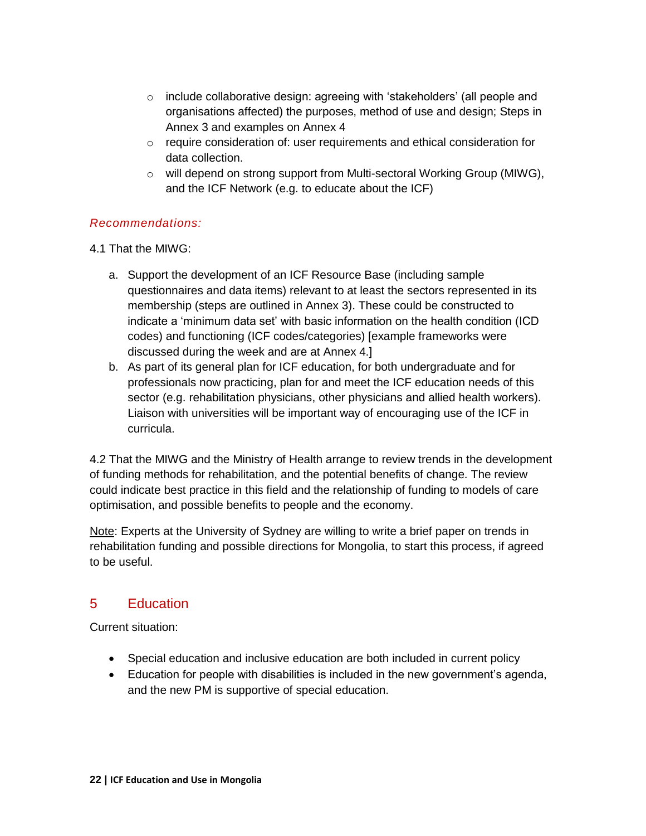- $\circ$  include collaborative design: agreeing with 'stakeholders' (all people and organisations affected) the purposes, method of use and design; Steps in Annex 3 and examples on Annex 4
- $\circ$  require consideration of: user requirements and ethical consideration for data collection.
- o will depend on strong support from Multi-sectoral Working Group (MIWG), and the ICF Network (e.g. to educate about the ICF)

#### *Recommendations:*

#### 4.1 That the MIWG:

- a. Support the development of an ICF Resource Base (including sample questionnaires and data items) relevant to at least the sectors represented in its membership (steps are outlined in Annex 3). These could be constructed to indicate a 'minimum data set' with basic information on the health condition (ICD codes) and functioning (ICF codes/categories) [example frameworks were discussed during the week and are at Annex 4.]
- b. As part of its general plan for ICF education, for both undergraduate and for professionals now practicing, plan for and meet the ICF education needs of this sector (e.g. rehabilitation physicians, other physicians and allied health workers). Liaison with universities will be important way of encouraging use of the ICF in curricula.

4.2 That the MIWG and the Ministry of Health arrange to review trends in the development of funding methods for rehabilitation, and the potential benefits of change. The review could indicate best practice in this field and the relationship of funding to models of care optimisation, and possible benefits to people and the economy.

Note: Experts at the University of Sydney are willing to write a brief paper on trends in rehabilitation funding and possible directions for Mongolia, to start this process, if agreed to be useful.

## <span id="page-21-0"></span>5 Education

Current situation:

- Special education and inclusive education are both included in current policy
- Education for people with disabilities is included in the new government's agenda, and the new PM is supportive of special education.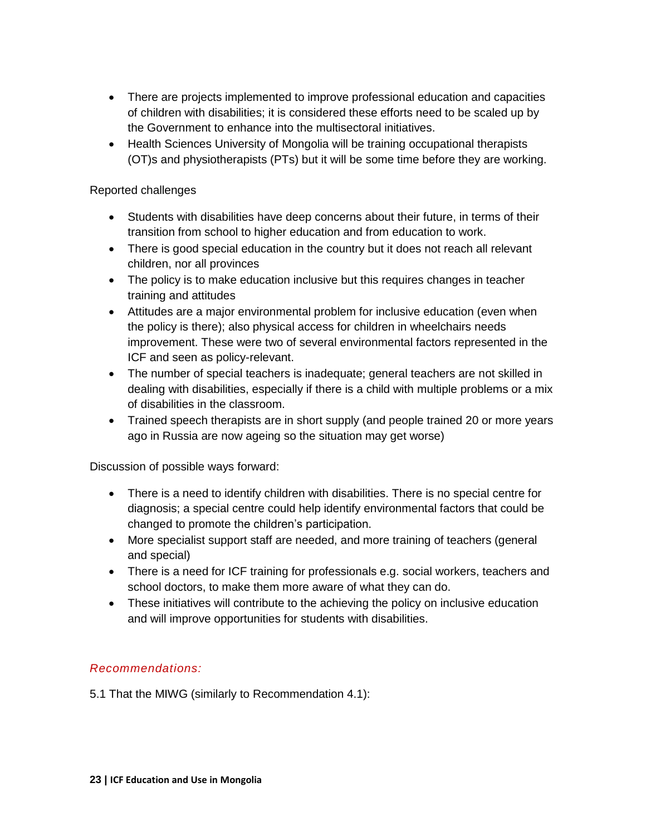- There are projects implemented to improve professional education and capacities of children with disabilities; it is considered these efforts need to be scaled up by the Government to enhance into the multisectoral initiatives.
- Health Sciences University of Mongolia will be training occupational therapists (OT)s and physiotherapists (PTs) but it will be some time before they are working.

#### Reported challenges

- Students with disabilities have deep concerns about their future, in terms of their transition from school to higher education and from education to work.
- There is good special education in the country but it does not reach all relevant children, nor all provinces
- The policy is to make education inclusive but this requires changes in teacher training and attitudes
- Attitudes are a major environmental problem for inclusive education (even when the policy is there); also physical access for children in wheelchairs needs improvement. These were two of several environmental factors represented in the ICF and seen as policy-relevant.
- The number of special teachers is inadequate; general teachers are not skilled in dealing with disabilities, especially if there is a child with multiple problems or a mix of disabilities in the classroom.
- Trained speech therapists are in short supply (and people trained 20 or more years ago in Russia are now ageing so the situation may get worse)

Discussion of possible ways forward:

- There is a need to identify children with disabilities. There is no special centre for diagnosis; a special centre could help identify environmental factors that could be changed to promote the children's participation.
- More specialist support staff are needed, and more training of teachers (general and special)
- There is a need for ICF training for professionals e.g. social workers, teachers and school doctors, to make them more aware of what they can do.
- These initiatives will contribute to the achieving the policy on inclusive education and will improve opportunities for students with disabilities.

#### *Recommendations:*

5.1 That the MIWG (similarly to Recommendation 4.1):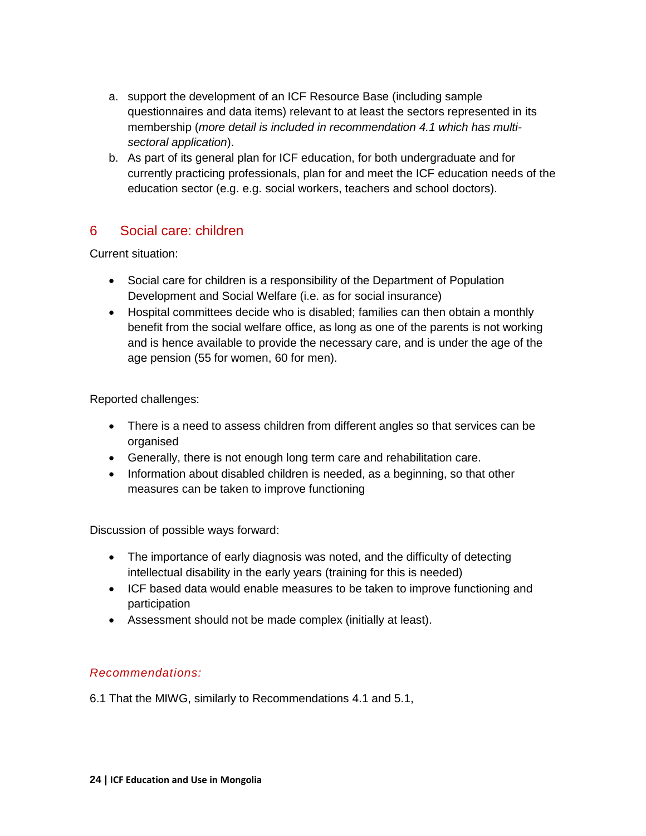- a. support the development of an ICF Resource Base (including sample questionnaires and data items) relevant to at least the sectors represented in its membership (*more detail is included in recommendation 4.1 which has multisectoral application*).
- b. As part of its general plan for ICF education, for both undergraduate and for currently practicing professionals, plan for and meet the ICF education needs of the education sector (e.g. e.g. social workers, teachers and school doctors).

## <span id="page-23-0"></span>6 Social care: children

Current situation:

- Social care for children is a responsibility of the Department of Population Development and Social Welfare (i.e. as for social insurance)
- Hospital committees decide who is disabled; families can then obtain a monthly benefit from the social welfare office, as long as one of the parents is not working and is hence available to provide the necessary care, and is under the age of the age pension (55 for women, 60 for men).

Reported challenges:

- There is a need to assess children from different angles so that services can be organised
- Generally, there is not enough long term care and rehabilitation care.
- Information about disabled children is needed, as a beginning, so that other measures can be taken to improve functioning

Discussion of possible ways forward:

- The importance of early diagnosis was noted, and the difficulty of detecting intellectual disability in the early years (training for this is needed)
- ICF based data would enable measures to be taken to improve functioning and participation
- Assessment should not be made complex (initially at least).

#### *Recommendations:*

6.1 That the MIWG, similarly to Recommendations 4.1 and 5.1,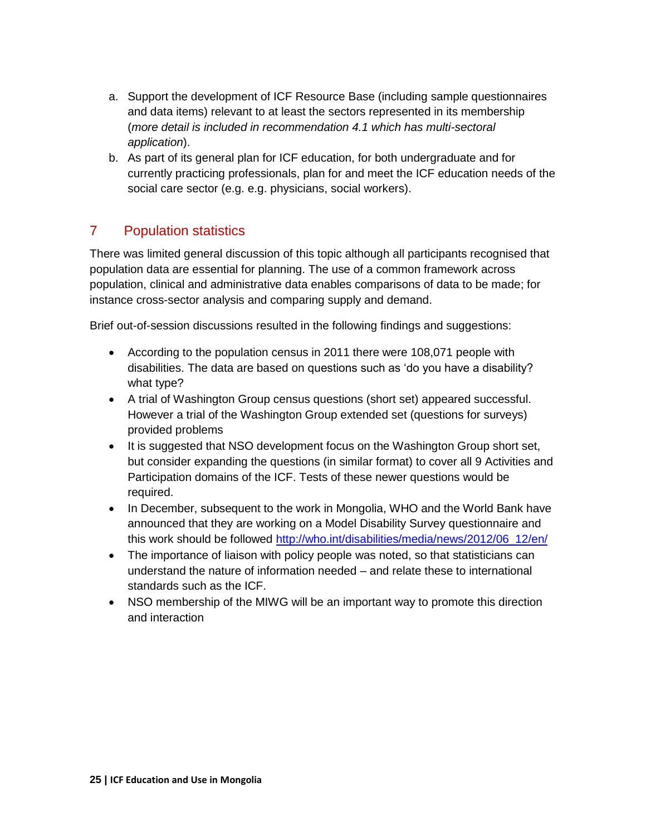- a. Support the development of ICF Resource Base (including sample questionnaires and data items) relevant to at least the sectors represented in its membership (*more detail is included in recommendation 4.1 which has multi-sectoral application*).
- b. As part of its general plan for ICF education, for both undergraduate and for currently practicing professionals, plan for and meet the ICF education needs of the social care sector (e.g. e.g. physicians, social workers).

## <span id="page-24-0"></span>7 Population statistics

There was limited general discussion of this topic although all participants recognised that population data are essential for planning. The use of a common framework across population, clinical and administrative data enables comparisons of data to be made; for instance cross-sector analysis and comparing supply and demand.

Brief out-of-session discussions resulted in the following findings and suggestions:

- According to the population census in 2011 there were 108,071 people with disabilities. The data are based on questions such as 'do you have a disability? what type?
- A trial of Washington Group census questions (short set) appeared successful. However a trial of the Washington Group extended set (questions for surveys) provided problems
- It is suggested that NSO development focus on the Washington Group short set, but consider expanding the questions (in similar format) to cover all 9 Activities and Participation domains of the ICF. Tests of these newer questions would be required.
- In December, subsequent to the work in Mongolia, WHO and the World Bank have announced that they are working on a Model Disability Survey questionnaire and this work should be followed [http://who.int/disabilities/media/news/2012/06\\_12/en/](http://who.int/disabilities/media/news/2012/06_12/en/)
- The importance of liaison with policy people was noted, so that statisticians can understand the nature of information needed – and relate these to international standards such as the ICF.
- NSO membership of the MIWG will be an important way to promote this direction and interaction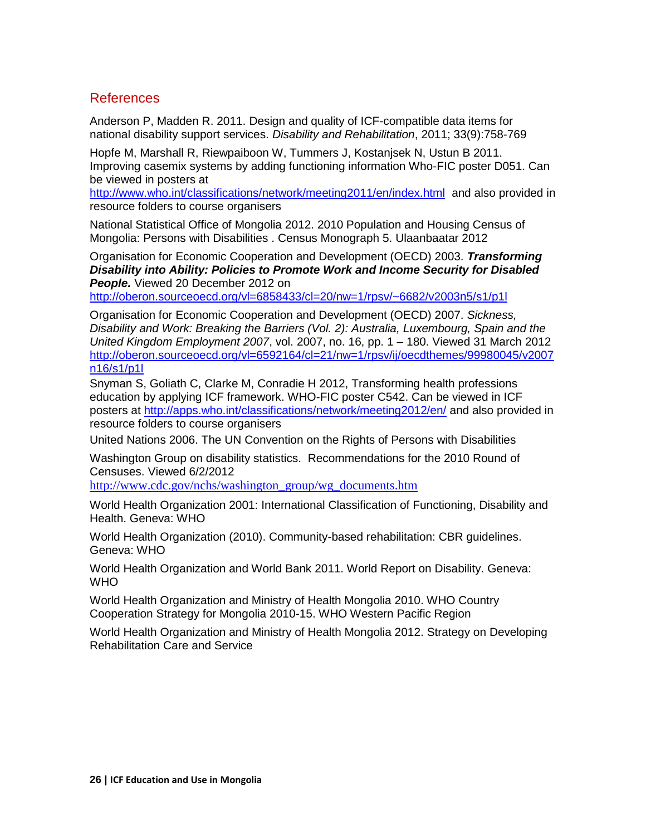#### <span id="page-25-0"></span>References

Anderson P, Madden R. 2011. Design and quality of ICF-compatible data items for national disability support services. *Disability and Rehabilitation*, 2011; 33(9):758-769

Hopfe M, Marshall R, Riewpaiboon W, Tummers J, Kostanjsek N, Ustun B 2011. Improving casemix systems by adding functioning information Who-FIC poster D051. Can be viewed in posters at

<http://www.who.int/classifications/network/meeting2011/en/index.html>and also provided in resource folders to course organisers

National Statistical Office of Mongolia 2012. 2010 Population and Housing Census of Mongolia: Persons with Disabilities . Census Monograph 5. Ulaanbaatar 2012

Organisation for Economic Cooperation and Development (OECD) 2003. *Transforming Disability into Ability: Policies to Promote Work and Income Security for Disabled People.* Viewed 20 December 2012 on

<http://oberon.sourceoecd.org/vl=6858433/cl=20/nw=1/rpsv/~6682/v2003n5/s1/p1l>

Organisation for Economic Cooperation and Development (OECD) 2007. *Sickness, Disability and Work: Breaking the Barriers (Vol. 2): Australia, Luxembourg, Spain and the United Kingdom Employment 2007*, vol. 2007, no. 16, pp. 1 – 180. Viewed 31 March 2012 [http://oberon.sourceoecd.org/vl=6592164/cl=21/nw=1/rpsv/ij/oecdthemes/99980045/v2007](http://oberon.sourceoecd.org/vl=6592164/cl=21/nw=1/rpsv/ij/oecdthemes/99980045/v2007n16/s1/p1l) [n16/s1/p1l](http://oberon.sourceoecd.org/vl=6592164/cl=21/nw=1/rpsv/ij/oecdthemes/99980045/v2007n16/s1/p1l)

Snyman S, Goliath C, Clarke M, Conradie H 2012, Transforming health professions education by applying ICF framework. WHO-FIC poster C542. Can be viewed in ICF posters at<http://apps.who.int/classifications/network/meeting2012/en/> and also provided in resource folders to course organisers

United Nations 2006. The UN Convention on the Rights of Persons with Disabilities

Washington Group on disability statistics. Recommendations for the 2010 Round of Censuses. Viewed 6/2/2012

[http://www.cdc.gov/nchs/washington\\_group/wg\\_documents.htm](http://www.cdc.gov/nchs/washington_group/wg_documents.htm)

World Health Organization 2001: International Classification of Functioning, Disability and Health. Geneva: WHO

World Health Organization (2010). Community-based rehabilitation: CBR guidelines. Geneva: WHO

World Health Organization and World Bank 2011. World Report on Disability. Geneva: WHO

World Health Organization and Ministry of Health Mongolia 2010. WHO Country Cooperation Strategy for Mongolia 2010-15. WHO Western Pacific Region

World Health Organization and Ministry of Health Mongolia 2012. Strategy on Developing Rehabilitation Care and Service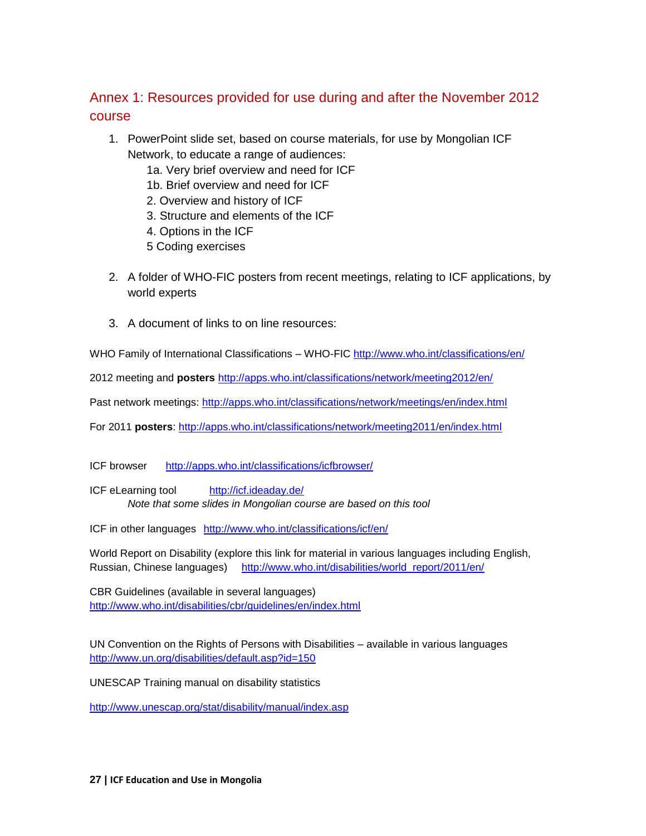## <span id="page-26-0"></span>Annex 1: Resources provided for use during and after the November 2012 course

- 1. PowerPoint slide set, based on course materials, for use by Mongolian ICF Network, to educate a range of audiences:
	- 1a. Very brief overview and need for ICF
	- 1b. Brief overview and need for ICF
	- 2. Overview and history of ICF
	- 3. Structure and elements of the ICF
	- 4. Options in the ICF
	- 5 Coding exercises
- 2. A folder of WHO-FIC posters from recent meetings, relating to ICF applications, by world experts
- 3. A document of links to on line resources:

WHO Family of International Classifications – WHO-FIC<http://www.who.int/classifications/en/>

2012 meeting and **posters** <http://apps.who.int/classifications/network/meeting2012/en/>

Past network meetings:<http://apps.who.int/classifications/network/meetings/en/index.html>

For 2011 **posters**:<http://apps.who.int/classifications/network/meeting2011/en/index.html>

ICF browser <http://apps.who.int/classifications/icfbrowser/>

ICF eLearning tool <http://icf.ideaday.de/> *Note that some slides in Mongolian course are based on this tool*

ICF in other languages <http://www.who.int/classifications/icf/en/>

World Report on Disability (explore this link for material in various languages including English, Russian, Chinese languages) [http://www.who.int/disabilities/world\\_report/2011/en/](http://www.who.int/disabilities/world_report/2011/en/)

CBR Guidelines (available in several languages) <http://www.who.int/disabilities/cbr/guidelines/en/index.html>

UN Convention on the Rights of Persons with Disabilities – available in various languages <http://www.un.org/disabilities/default.asp?id=150>

UNESCAP Training manual on disability statistics

<http://www.unescap.org/stat/disability/manual/index.asp>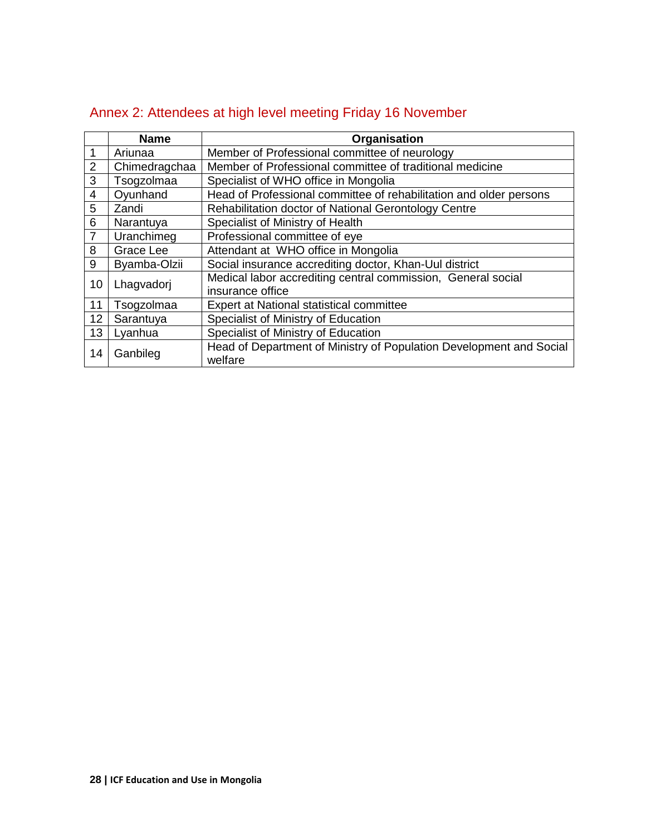|                         | <b>Name</b>   | Organisation                                                        |  |  |
|-------------------------|---------------|---------------------------------------------------------------------|--|--|
| $\mathbf{1}$            | Ariunaa       | Member of Professional committee of neurology                       |  |  |
| $\overline{2}$          | Chimedragchaa | Member of Professional committee of traditional medicine            |  |  |
| 3                       | Tsogzolmaa    | Specialist of WHO office in Mongolia                                |  |  |
| $\overline{\mathbf{4}}$ | Oyunhand      | Head of Professional committee of rehabilitation and older persons  |  |  |
| $\overline{5}$          | Zandi         | Rehabilitation doctor of National Gerontology Centre                |  |  |
| 6                       | Narantuya     | Specialist of Ministry of Health                                    |  |  |
| $\overline{7}$          | Uranchimeg    | Professional committee of eye                                       |  |  |
| 8                       | Grace Lee     | Attendant at WHO office in Mongolia                                 |  |  |
| 9                       | Byamba-Olzii  | Social insurance accrediting doctor, Khan-Uul district              |  |  |
| 10<br>Lhagvadorj        |               | Medical labor accrediting central commission, General social        |  |  |
|                         |               | insurance office                                                    |  |  |
| 11                      | Tsogzolmaa    | Expert at National statistical committee                            |  |  |
| 12                      | Sarantuya     | Specialist of Ministry of Education                                 |  |  |
| 13                      | Lyanhua       | Specialist of Ministry of Education                                 |  |  |
| 14                      | Ganbileg      | Head of Department of Ministry of Population Development and Social |  |  |
|                         |               | welfare                                                             |  |  |

## <span id="page-27-0"></span>Annex 2: Attendees at high level meeting Friday 16 November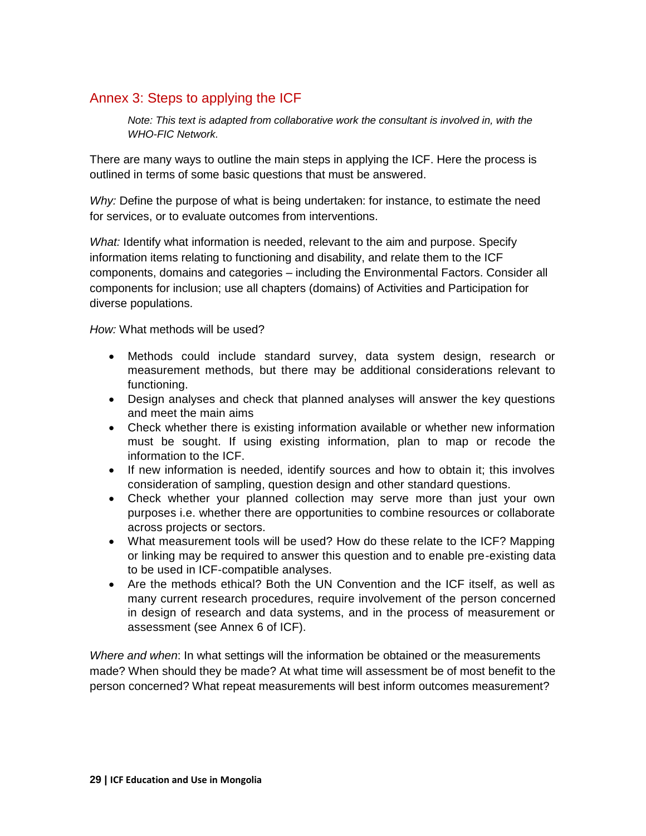## <span id="page-28-0"></span>Annex 3: Steps to applying the ICF

*Note: This text is adapted from collaborative work the consultant is involved in, with the WHO-FIC Network.*

There are many ways to outline the main steps in applying the ICF. Here the process is outlined in terms of some basic questions that must be answered.

*Why:* Define the purpose of what is being undertaken: for instance, to estimate the need for services, or to evaluate outcomes from interventions.

*What:* Identify what information is needed, relevant to the aim and purpose. Specify information items relating to functioning and disability, and relate them to the ICF components, domains and categories – including the Environmental Factors. Consider all components for inclusion; use all chapters (domains) of Activities and Participation for diverse populations.

*How:* What methods will be used?

- Methods could include standard survey, data system design, research or measurement methods, but there may be additional considerations relevant to functioning.
- Design analyses and check that planned analyses will answer the key questions and meet the main aims
- Check whether there is existing information available or whether new information must be sought. If using existing information, plan to map or recode the information to the ICF.
- If new information is needed, identify sources and how to obtain it; this involves consideration of sampling, question design and other standard questions.
- Check whether your planned collection may serve more than just your own purposes i.e. whether there are opportunities to combine resources or collaborate across projects or sectors.
- What measurement tools will be used? How do these relate to the ICF? Mapping or linking may be required to answer this question and to enable pre-existing data to be used in ICF-compatible analyses.
- Are the methods ethical? Both the UN Convention and the ICF itself, as well as many current research procedures, require involvement of the person concerned in design of research and data systems, and in the process of measurement or assessment (see Annex 6 of ICF).

*Where and when*: In what settings will the information be obtained or the measurements made? When should they be made? At what time will assessment be of most benefit to the person concerned? What repeat measurements will best inform outcomes measurement?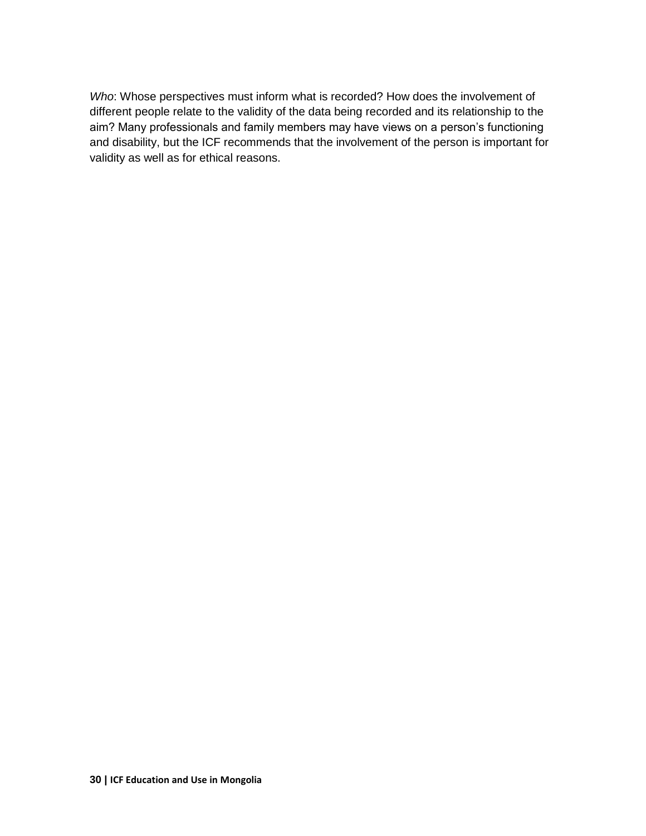*Who*: Whose perspectives must inform what is recorded? How does the involvement of different people relate to the validity of the data being recorded and its relationship to the aim? Many professionals and family members may have views on a person's functioning and disability, but the ICF recommends that the involvement of the person is important for validity as well as for ethical reasons.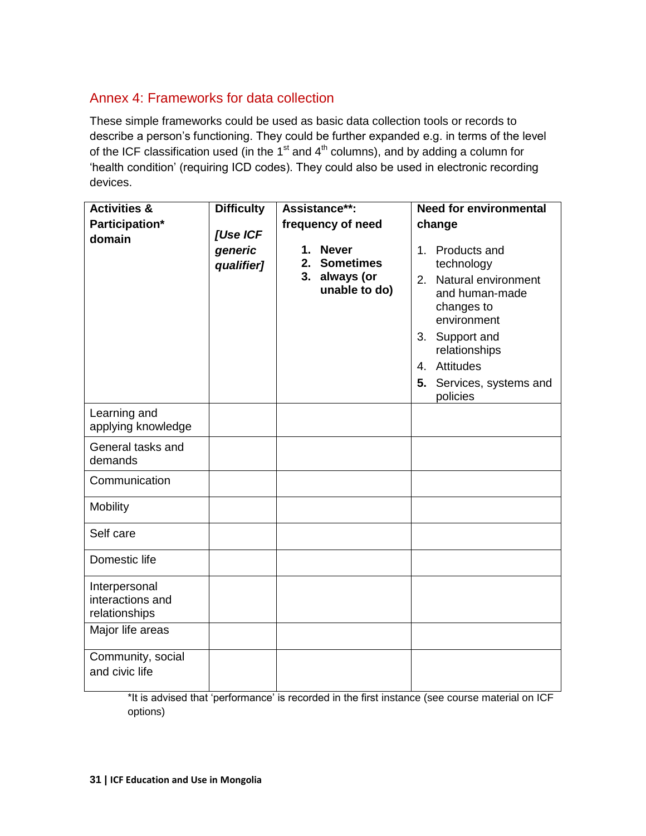## <span id="page-30-0"></span>Annex 4: Frameworks for data collection

These simple frameworks could be used as basic data collection tools or records to describe a person's functioning. They could be further expanded e.g. in terms of the level of the ICF classification used (in the  $1<sup>st</sup>$  and  $4<sup>th</sup>$  columns), and by adding a column for 'health condition' (requiring ICD codes). They could also be used in electronic recording devices.

| <b>Activities &amp;</b>                            | <b>Difficulty</b>     | Assistance**:                                                                  | <b>Need for environmental</b>                                                                                                                                                                        |
|----------------------------------------------------|-----------------------|--------------------------------------------------------------------------------|------------------------------------------------------------------------------------------------------------------------------------------------------------------------------------------------------|
| Participation*                                     | [Use ICF              | frequency of need                                                              | change                                                                                                                                                                                               |
| domain                                             | generic<br>qualifier] | <b>Never</b><br>1.<br><b>Sometimes</b><br>2.<br>3. always (or<br>unable to do) | 1. Products and<br>technology<br>2. Natural environment<br>and human-made<br>changes to<br>environment<br>3. Support and<br>relationships<br>4. Attitudes<br>Services, systems and<br>5.<br>policies |
| Learning and<br>applying knowledge                 |                       |                                                                                |                                                                                                                                                                                                      |
| General tasks and<br>demands                       |                       |                                                                                |                                                                                                                                                                                                      |
| Communication                                      |                       |                                                                                |                                                                                                                                                                                                      |
| <b>Mobility</b>                                    |                       |                                                                                |                                                                                                                                                                                                      |
| Self care                                          |                       |                                                                                |                                                                                                                                                                                                      |
| Domestic life                                      |                       |                                                                                |                                                                                                                                                                                                      |
| Interpersonal<br>interactions and<br>relationships |                       |                                                                                |                                                                                                                                                                                                      |
| Major life areas                                   |                       |                                                                                |                                                                                                                                                                                                      |
| Community, social<br>and civic life                |                       |                                                                                |                                                                                                                                                                                                      |

\*It is advised that 'performance' is recorded in the first instance (see course material on ICF options)